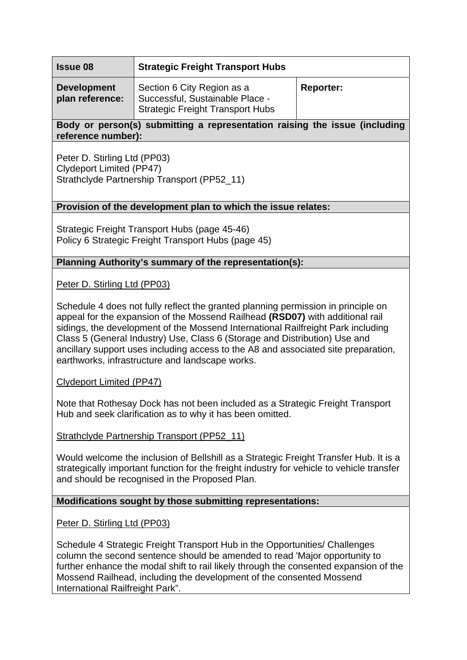| <b>Issue 08</b>                       | <b>Strategic Freight Transport Hubs</b>                                                                  |                  |
|---------------------------------------|----------------------------------------------------------------------------------------------------------|------------------|
| <b>Development</b><br>plan reference: | Section 6 City Region as a<br>Successful, Sustainable Place -<br><b>Strategic Freight Transport Hubs</b> | <b>Reporter:</b> |

# **Body or person(s) submitting a representation raising the issue (including reference number):**

Peter D. Stirling Ltd (PP03) Clydeport Limited (PP47) Strathclyde Partnership Transport (PP52\_11)

### **Provision of the development plan to which the issue relates:**

Strategic Freight Transport Hubs (page 45-46) Policy 6 Strategic Freight Transport Hubs (page 45)

#### **Planning Authority's summary of the representation(s):**

Peter D. Stirling Ltd (PP03)

Schedule 4 does not fully reflect the granted planning permission in principle on appeal for the expansion of the Mossend Railhead **(RSD07)** with additional rail sidings, the development of the Mossend International Railfreight Park including Class 5 (General Industry) Use, Class 6 (Storage and Distribution) Use and ancillary support uses including access to the A8 and associated site preparation, earthworks, infrastructure and landscape works.

Clydeport Limited (PP47)

Note that Rothesay Dock has not been included as a Strategic Freight Transport Hub and seek clarification as to why it has been omitted.

Strathclyde Partnership Transport (PP52\_11)

Would welcome the inclusion of Bellshill as a Strategic Freight Transfer Hub. It is a strategically important function for the freight industry for vehicle to vehicle transfer and should be recognised in the Proposed Plan.

### **Modifications sought by those submitting representations:**

Peter D. Stirling Ltd (PP03)

Schedule 4 Strategic Freight Transport Hub in the Opportunities/ Challenges column the second sentence should be amended to read 'Major opportunity to further enhance the modal shift to rail likely through the consented expansion of the Mossend Railhead, including the development of the consented Mossend International Railfreight Park".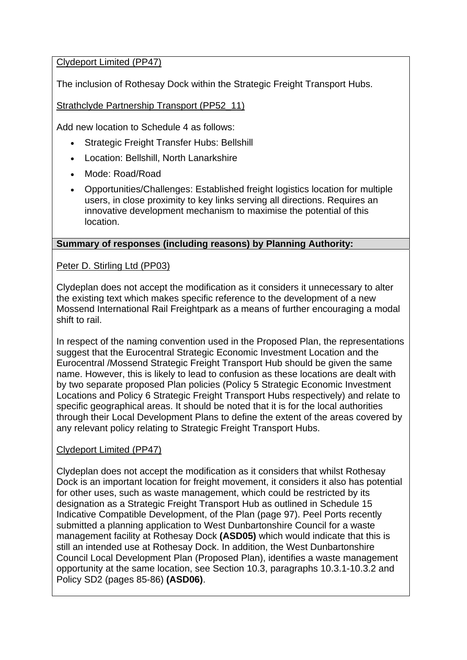# Clydeport Limited (PP47)

The inclusion of Rothesay Dock within the Strategic Freight Transport Hubs.

# Strathclyde Partnership Transport (PP52\_11)

Add new location to Schedule 4 as follows:

- Strategic Freight Transfer Hubs: Bellshill
- Location: Bellshill, North Lanarkshire
- Mode: Road/Road
- Opportunities/Challenges: Established freight logistics location for multiple users, in close proximity to key links serving all directions. Requires an innovative development mechanism to maximise the potential of this location.

# **Summary of responses (including reasons) by Planning Authority:**

### Peter D. Stirling Ltd (PP03)

Clydeplan does not accept the modification as it considers it unnecessary to alter the existing text which makes specific reference to the development of a new Mossend International Rail Freightpark as a means of further encouraging a modal shift to rail.

In respect of the naming convention used in the Proposed Plan, the representations suggest that the Eurocentral Strategic Economic Investment Location and the Eurocentral /Mossend Strategic Freight Transport Hub should be given the same name. However, this is likely to lead to confusion as these locations are dealt with by two separate proposed Plan policies (Policy 5 Strategic Economic Investment Locations and Policy 6 Strategic Freight Transport Hubs respectively) and relate to specific geographical areas. It should be noted that it is for the local authorities through their Local Development Plans to define the extent of the areas covered by any relevant policy relating to Strategic Freight Transport Hubs.

# Clydeport Limited (PP47)

Clydeplan does not accept the modification as it considers that whilst Rothesay Dock is an important location for freight movement, it considers it also has potential for other uses, such as waste management, which could be restricted by its designation as a Strategic Freight Transport Hub as outlined in Schedule 15 Indicative Compatible Development, of the Plan (page 97). Peel Ports recently submitted a planning application to West Dunbartonshire Council for a waste management facility at Rothesay Dock **(ASD05)** which would indicate that this is still an intended use at Rothesay Dock. In addition, the West Dunbartonshire Council Local Development Plan (Proposed Plan), identifies a waste management opportunity at the same location, see Section 10.3, paragraphs 10.3.1-10.3.2 and Policy SD2 (pages 85-86) **(ASD06)**.